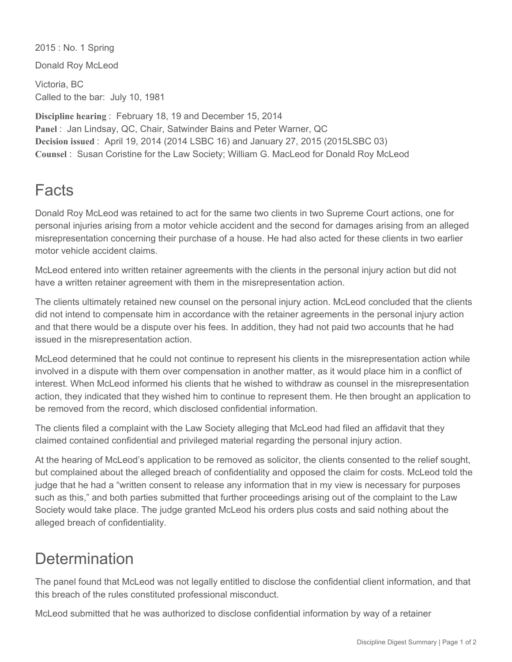2015 : No. 1 Spring

Donald Roy McLeod

Victoria, BC Called to the bar: July 10, 1981

**Discipline hearing** : February 18, 19 and December 15, 2014 **Panel** : Jan Lindsay, QC, Chair, Satwinder Bains and Peter Warner, QC **Decision issued** : April 19, 2014 (2014 LSBC 16) and January 27, 2015 (2015LSBC 03) **Counsel** : Susan Coristine for the Law Society; William G. MacLeod for Donald Roy McLeod

## Facts

Donald Roy McLeod was retained to act for the same two clients in two Supreme Court actions, one for personal injuries arising from a motor vehicle accident and the second for damages arising from an alleged misrepresentation concerning their purchase of a house. He had also acted for these clients in two earlier motor vehicle accident claims.

McLeod entered into written retainer agreements with the clients in the personal injury action but did not have a written retainer agreement with them in the misrepresentation action.

The clients ultimately retained new counsel on the personal injury action. McLeod concluded that the clients did not intend to compensate him in accordance with the retainer agreements in the personal injury action and that there would be a dispute over his fees. In addition, they had not paid two accounts that he had issued in the misrepresentation action.

McLeod determined that he could not continue to represent his clients in the misrepresentation action while involved in a dispute with them over compensation in another matter, as it would place him in a conflict of interest. When McLeod informed his clients that he wished to withdraw as counsel in the misrepresentation action, they indicated that they wished him to continue to represent them. He then brought an application to be removed from the record, which disclosed confidential information.

The clients filed a complaint with the Law Society alleging that McLeod had filed an affidavit that they claimed contained confidential and privileged material regarding the personal injury action.

At the hearing of McLeod's application to be removed as solicitor, the clients consented to the relief sought, but complained about the alleged breach of confidentiality and opposed the claim for costs. McLeod told the judge that he had a "written consent to release any information that in my view is necessary for purposes such as this," and both parties submitted that further proceedings arising out of the complaint to the Law Society would take place. The judge granted McLeod his orders plus costs and said nothing about the alleged breach of confidentiality.

## **Determination**

The panel found that McLeod was not legally entitled to disclose the confidential client information, and that this breach of the rules constituted professional misconduct.

McLeod submitted that he was authorized to disclose confidential information by way of a retainer